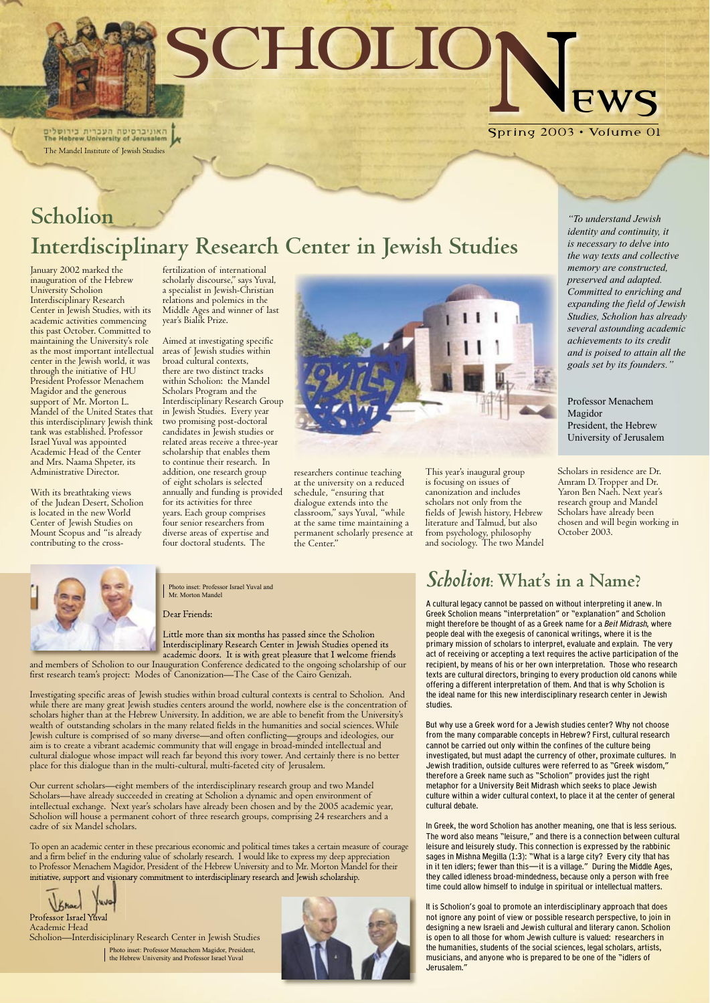Spring 2003 • Volume 01

## **Scholion Interdisciplinary Research Center in Jewish Studies**

January 2002 marked the inauguration of the Hebrew University Scholion Interdisciplinary Research Center in Jewish Studies, with its academic activities commencing this past October. Committed to maintaining the University's role as the most important intellectual center in the Jewish world, it was through the initiative of HU President Professor Menachem Magidor and the generous support of Mr. Morton L. Mandel of the United States that this interdisciplinary Jewish think tank was established. Professor Israel Yuval was appointed Academic Head of the Center and Mrs. Naama Shpeter, its Administrative Director.

With its breathtaking views of the Judean Desert, Scholion is located in the new World Center of Jewish Studies on Mount Scopus and "is already contributing to the cross-

fertilization of international scholarly discourse," says Yuval, a specialist in Jewish-Christian relations and polemics in the Middle Ages and winner of last year's Bialik Prize.

Aimed at investigating specific areas of Jewish studies within broad cultural contexts, there are two distinct tracks within Scholion: the Mandel Scholars Program and the Interdisciplinary Research Group in Jewish Studies. Every year two promising post-doctoral candidates in Jewish studies or related areas receive a three-year scholarship that enables them to continue their research. In addition, one research group of eight scholars is selected annually and funding is provided for its activities for three years. Each group comprises four senior researchers from diverse areas of expertise and four doctoral students. The



researchers continue teaching at the university on a reduced schedule, "ensuring that dialogue extends into the classroom," says Yuval, "while at the same time maintaining a permanent scholarly presence at the Center."

This year's inaugural group is focusing on issues of canonization and includes scholars not only from the fields of Jewish history, Hebrew literature and Talmud, but also from psychology, philosophy and sociology. The two Mandel

Professor Israel Yuva Academic Head Scholion—Interdisiciplinary Research Center in Jewish Studies Scholars in residence are Dr. Amram D. Tropper and Dr. Yaron Ben Naeh. Next year's research group and Mandel Scholars have already been chosen and will begin working in October 2003.



Dear Friends:

Little more than six months has passed since the Scholion Interdisciplinary Research Center in Jewish Studies opened its academic doors. It is with great pleasure that I welcome friends

and members of Scholion to our Inauguration Conference dedicated to the ongoing scholarship of our first research team's project: Modes of Canonization—The Case of the Cairo Genizah.

Investigating specific areas of Jewish studies within broad cultural contexts is central to Scholion. And while there are many great Jewish studies centers around the world, nowhere else is the concentration of scholars higher than at the Hebrew University. In addition, we are able to benefit from the University's wealth of outstanding scholars in the many related fields in the humanities and social sciences. While Jewish culture is comprised of so many diverse—and often conflicting—groups and ideologies, our aim is to create a vibrant academic community that will engage in broad-minded intellectual and cultural dialogue whose impact will reach far beyond this ivory tower. And certainly there is no better

place for this dialogue than in the multi-cultural, multi-faceted city of Jerusalem.

Our current scholars—eight members of the interdisciplinary research group and two Mandel Scholars—have already succeeded in creating at Scholion a dynamic and open environment of intellectual exchange. Next year's scholars have already been chosen and by the 2005 academic year, Scholion will house a permanent cohort of three research groups, comprising 24 researchers and a cadre of six Mandel scholars.

To open an academic center in these precarious economic and political times takes a certain measure of courage and a firm belief in the enduring value of scholarly research. I would like to express my deep appreciation to Professor Menachem Magidor, President of the Hebrew University and to Mr. Morton Mandel for their initiative, support and visionary commitment to interdisciplinary research and Jewish scholarship.

## *Scholion***: What's in a Name?**

A cultural legacy cannot be passed on without interpreting it anew. In Greek Scholion means "interpretation" or "explanation" and Scholion might therefore be thought of as a Greek name for a Beit Midrash, where people deal with the exegesis of canonical writings, where it is the primary mission of scholars to interpret, evaluate and explain. The very act of receiving or accepting a text requires the active participation of the recipient, by means of his or her own interpretation. Those who research texts are cultural directors, bringing to every production old canons while offering a different interpretation of them. And that is why Scholion is the ideal name for this new interdisciplinary research center in Jewish studies.

But why use a Greek word for a Jewish studies center? Why not choose from the many comparable concepts in Hebrew? First, cultural research cannot be carried out only within the confines of the culture being investigated, but must adapt the currency of other, proximate cultures. In Jewish tradition, outside cultures were referred to as "Greek wisdom," therefore a Greek name such as "Scholion" provides just the right metaphor for a University Beit Midrash which seeks to place Jewish culture within a wider cultural context, to place it at the center of general cultural debate.

In Greek, the word Scholion has another meaning, one that is less serious. The word also means "leisure," and there is a connection between cultural leisure and leisurely study. This connection is expressed by the rabbinic sages in Mishna Megilla (1:3): "What is a large city? Every city that has in it ten idlers; fewer than this—it is a village." During the Middle Ages, they called idleness broad-mindedness, because only a person with free time could allow himself to indulge in spiritual or intellectual matters.

It is Scholion's goal to promote an interdisciplinary approach that does not ignore any point of view or possible research perspective, to join in designing a new Israeli and Jewish cultural and literary canon. Scholion is open to all those for whom Jewish culture is valued: researchers in the humanities, students of the social sciences, legal scholars, artists, musicians, and anyone who is prepared to be one of the "idlers of Jerusalem."

*"To understand Jewish identity and continuity, it is necessary to delve into the way texts and collective memory are constructed, preserved and adapted. Committed to enriching and expanding the field of Jewish Studies, Scholion has already several astounding academic achievements to its credit and is poised to attain all the goals set by its founders."*

Professor Menachem Magidor President, the Hebrew University of Jerusalem

SCHOLION News

The Mandel Institute of Jewish Studies

Photo inset: Professor Menachem Magidor, President, the Hebrew University and Professor Israel Yuval



Photo inset: Professor Israel Yuval and Mr. Morton Mandel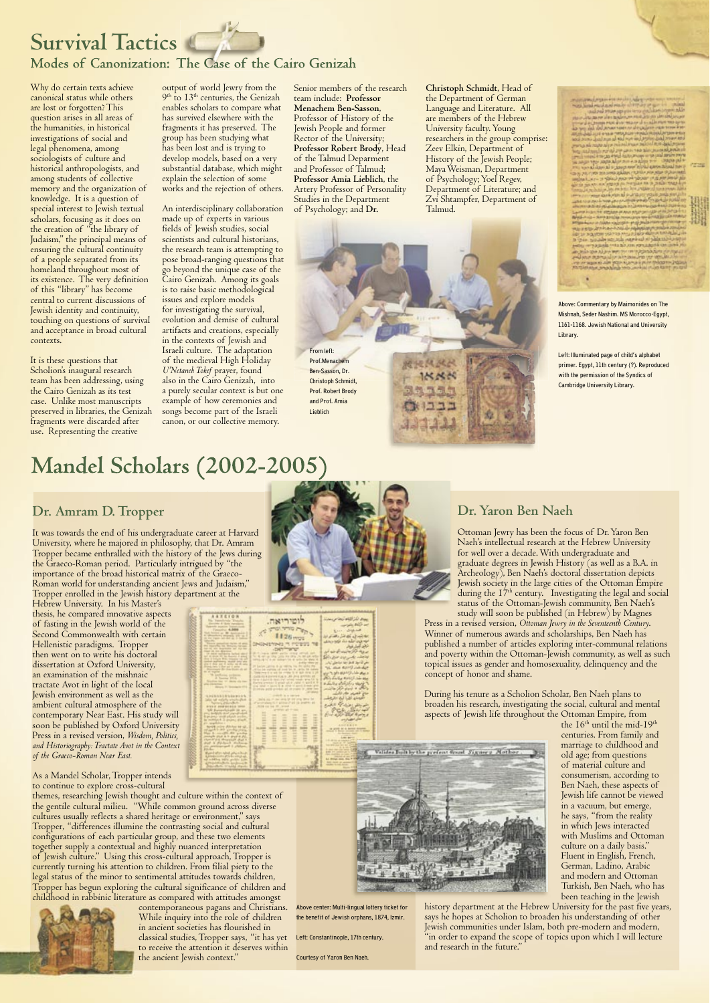# **Survival Tactics**

### **Modes of Canonization: The Case of the Cairo Genizah**

Why do certain texts achieve canonical status while others are lost or forgotten? This question arises in all areas of the humanities, in historical investigations of social and legal phenomena, among sociologists of culture and historical anthropologists, and among students of collective memory and the organization of knowledge. It is a question of special interest to Jewish textual scholars, focusing as it does on the creation of "the library of Judaism," the principal means of ensuring the cultural continuity of a people separated from its homeland throughout most of its existence. The very definition of this "library" has become central to current discussions of Jewish identity and continuity, touching on questions of survival and acceptance in broad cultural contexts.

It is these questions that Scholion's inaugural research team has been addressing, using the Cairo Genizah as its test case. Unlike most manuscripts preserved in libraries, the Genizah fragments were discarded after use. Representing the creative

output of world Jewry from the 9<sup>th</sup> to 13<sup>th</sup> centuries, the Genizah enables scholars to compare what has survived elsewhere with the fragments it has preserved. The group has been studying what has been lost and is trying to develop models, based on a very substantial database, which might explain the selection of some works and the rejection of others.

An interdisciplinary collaboration made up of experts in various fields of Jewish studies, social scientists and cultural historians, the research team is attempting to pose broad-ranging questions that go beyond the unique case of the Cairo Genizah. Among its goals is to raise basic methodological issues and explore models for investigating the survival, evolution and demise of cultural artifacts and creations, especially in the contexts of Jewish and Israeli culture. The adaptation of the medieval High Holiday *U'Netaneh Tokef* prayer, found also in the Cairo Genizah, into a purely secular context is but one example of how ceremonies and songs become part of the Israeli canon, or our collective memory.

Senior members of the research team include: **Professor Menachem Ben-Sasson**, Professor of History of the Jewish People and former Rector of the University; **Professor Robert Brody**, Head of the Talmud Deparment and Professor of Talmud; **Professor Amia Lieblich**, the Artery Professor of Personality Studies in the Department of Psychology; and **Dr.** 

## **Mandel Scholars (2002-2005)**

#### **Christoph Schmidt**, Head of the Department of German Language and Literature. All are members of the Hebrew University faculty. Young researchers in the group comprise: Zeev Elkin, Department of History of the Jewish People; Maya Weisman, Department of Psychology; Yoel Regev, Department of Literature; and Zvi Shtampfer, Department of

Talmud.

### **Dr. Amram D. Tropper**

It was towards the end of his undergraduate career at Harvard University, where he majored in philosophy, that Dr. Amram Tropper became enthralled with the history of the Jews during the Graeco-Roman period. Particularly intrigued by "the importance of the broad historical matrix of the Graeco-Roman world for understanding ancient Jews and Judaism," Tropper enrolled in the Jewish history department at the

> the 16<sup>th</sup> until the mid-19<sup>th</sup> centuries. From family and marriage to childhood and old age; from questions of material culture and consumerism, according to Ben Naeh, these aspects of Jewish life cannot be viewed in a vacuum, but emerge, he says, "from the reality in which Jews interacted with Muslims and Ottoman culture on a daily basis." Fluent in English, French, German, Ladino, Arabic and modern and Ottoman Turkish, Ben Naeh, who has been teaching in the Jewish

Hebrew University. In his Master's thesis, he compared innovative aspects of fasting in the Jewish world of the Second Commonwealth with certain Hellenistic paradigms. Tropper then went on to write his doctoral dissertation at Oxford University, an examination of the mishnaic tractate Avot in light of the local Jewish environment as well as the ambient cultural atmosphere of the contemporary Near East. His study will soon be published by Oxford University Press in a revised version, *Wisdom, Politics, and Historiography: Tractate Avot in the Context of the Graeco-Roman Near East.*





As a Mandel Scholar, Tropper intends to continue to explore cross-cultural themes, researching Jewish thought and culture within the context of the gentile cultural milieu. "While common ground across diverse cultures usually reflects a shared heritage or environment," says Tropper, "differences illumine the contrasting social and cultural configurations of each particular group, and these two elements together supply a contextual and highly nuanced interpretation of Jewish culture." Using this cross-cultural approach, Tropper is currently turning his attention to children. From filial piety to the legal status of the minor to sentimental attitudes towards children, Tropper has begun exploring the cultural significance of children and childhood in rabbinic literature as compared with attitudes amongst



contemporaneous pagans and Christians. While inquiry into the role of children in ancient societies has flourished in classical studies, Tropper says, "it has yet to receive the attention it deserves within the ancient Jewish context."

### **Dr. Yaron Ben Naeh**

Ottoman Jewry has been the focus of Dr. Yaron Ben Naeh's intellectual research at the Hebrew University for well over a decade. With undergraduate and graduate degrees in Jewish History (as well as a B.A. in Archeology), Ben Naeh's doctoral dissertation depicts Jewish society in the large cities of the Ottoman Empire during the 17<sup>th</sup> century. Investigating the legal and social status of the Ottoman-Jewish community, Ben Naeh's study will soon be published (in Hebrew) by Magnes

Press in a revised version, *Ottoman Jewry in the Seventeenth Century*. Winner of numerous awards and scholarships, Ben Naeh has published a number of articles exploring inter-communal relations and poverty within the Ottoman-Jewish community, as well as such topical issues as gender and homosexuality, delinquency and the concept of honor and shame.

During his tenure as a Scholion Scholar, Ben Naeh plans to broaden his research, investigating the social, cultural and mental aspects of Jewish life throughout the Ottoman Empire, from

history department at the Hebrew University for the past five years, says he hopes at Scholion to broaden his understanding of other Jewish communities under Islam, both pre-modern and modern, "in order to expand the scope of topics upon which I will lecture and research in the future."

From left: Prof.Menachem Ben-Sasson, Dr. Christoph Schmidt, Prof. Robert Brody and Prof. Amia Lieblich

Above: Commentary by Maimonides on The Mishnah, Seder Nashim. MS Morocco-Egypt, 1161-1168. Jewish National and University Library.

Left: Illuminated page of child's alphabet primer. Egypt, 11th century (?). Reproduced with the permission of the Syndics of Cambridge University Library.



Valides light by the grefent worst Sign

Left: Constantinople, 17th century.

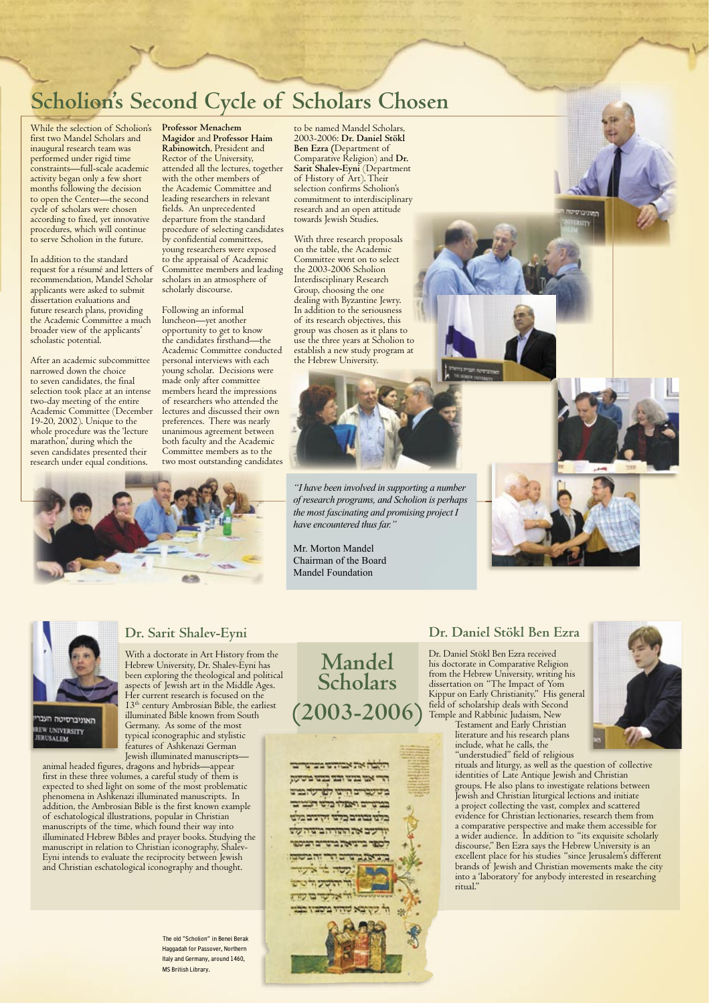While the selection of Scholion's first two Mandel Scholars and inaugural research team was performed under rigid time constraints—full-scale academic activity began only a few short months following the decision to open the Center—the second cycle of scholars were chosen according to fixed, yet innovative procedures, which will continue to serve Scholion in the future.

In addition to the standard request for a résumé and letters of recommendation, Mandel Scholar applicants were asked to submit dissertation evaluations and future research plans, providing the Academic Committee a much broader view of the applicants' scholastic potential.

After an academic subcommittee narrowed down the choice to seven candidates, the final selection took place at an intense two-day meeting of the entire Academic Committee (December 19-20, 2002). Unique to the whole procedure was the 'lecture marathon,' during which the seven candidates presented their research under equal conditions.

to be named Mandel Scholars, 2003-2006: **Dr. Daniel Stökl Ben Ezra (**Department of Comparative Religion) and **Dr. Sarit Shalev-Eyni** (Department of History of Art). Their selection confirms Scholion's commitment to interdisciplinary research and an open attitude towards Jewish Studies.

With three research proposals on the table, the Academic Committee went on to select the 2003-2006 Scholion Interdisciplinary Research Group, choosing the one dealing with Byzantine Jewry. In addition to the seriousness of its research objectives, this group was chosen as it plans to use the three years at Scholion to establish a new study program at the Hebrew University.



# **Scholion's Second Cycle of Scholars Chosen**

**Professor Menachem Magidor** and **Professor Haim Rabinowitch**, President and Rector of the University, attended all the lectures, together with the other members of the Academic Committee and leading researchers in relevant fields. An unprecedented departure from the standard procedure of selecting candidates by confidential committees, young researchers were exposed to the appraisal of Academic Committee members and leading scholars in an atmosphere of scholarly discourse.

Following an informal luncheon—yet another opportunity to get to know the candidates firsthand—the Academic Committee conducted personal interviews with each young scholar. Decisions were made only after committee members heard the impressions of researchers who attended the lectures and discussed their own preferences. There was nearly unanimous agreement between both faculty and the Academic Committee members as to the two most outstanding candidates



**Dr. Sarit Shalev-Eyni**

With a doctorate in Art History from the

#### Hebrew University, Dr. Shalev-Eyni has been exploring the theological and political aspects of Jewish art in the Middle Ages. Her current research is focused on the 13th century Ambrosian Bible, the earliest illuminated Bible known from South Germany. As some of the most typical iconographic and stylistic features of Ashkenazi German Jewish illuminated manuscripts—

animal headed figures, dragons and hybrids—appear first in these three volumes, a careful study of them is expected to shed light on some of the most problematic phenomena in Ashkenazi illuminated manuscripts. In addition, the Ambrosian Bible is the first known example of eschatological illustrations, popular in Christian manuscripts of the time, which found their way into illuminated Hebrew Bibles and prayer books. Studying the manuscript in relation to Christian iconography, Shalev-Eyni intends to evaluate the reciprocity between Jewish and Christian eschatological iconography and thought.

**Mandel Scholars (2003-2006)**

### **Dr. Daniel Stökl Ben Ezra**

Dr. Daniel Stökl Ben Ezra received his doctorate in Comparative Religion from the Hebrew University, writing his dissertation on "The Impact of Yom Kippur on Early Christianity." His general field of scholarship deals with Second Temple and Rabbinic Judaism, New

Testament and Early Christian literature and his research plans include, what he calls, the "understudied" field of religious rituals and liturgy, as well as the question of collective identities of Late Antique Jewish and Christian groups. He also plans to investigate relations between Jewish and Christian liturgical lections and initiate a project collecting the vast, complex and scattered evidence for Christian lectionaries, research them from a comparative perspective and make them accessible for a wider audience. In addition to "its exquisite scholarly discourse," Ben Ezra says the Hebrew University is an excellent place for his studies "since Jerusalem's different brands of Jewish and Christian movements make the city into a 'laboratory' for anybody interested in researching ritual."

האומכרסיטו





#### האוניברסיטה העבו REW UNIVERSITY ERUSALEM

The old "Scholion" in Benei Berak Haggadah for Passover, Northern Italy and Germany, around 1460, MS British Library.



*"I have been involved in supporting a number of research programs, and Scholion is perhaps the most fascinating and promising project I have encountered thus far."*

Mr. Morton Mandel Chairman of the Board Mandel Foundation